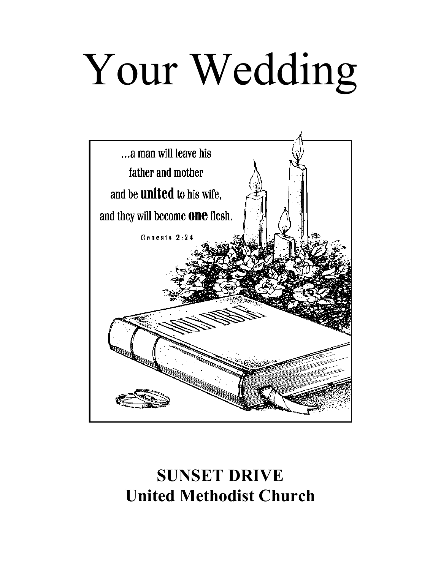# Your Wedding



# **SUNSET DRIVE United Methodist Church**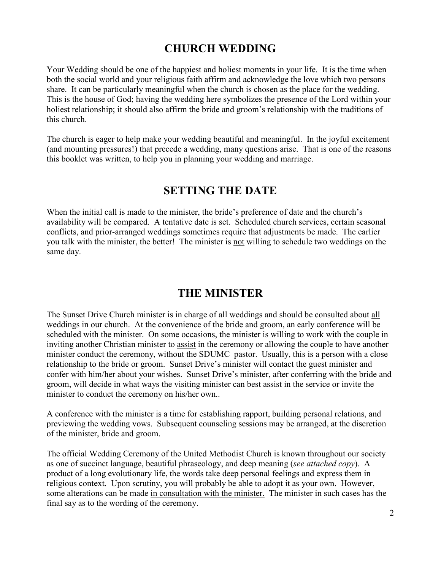#### **CHURCH WEDDING**

Your Wedding should be one of the happiest and holiest moments in your life. It is the time when both the social world and your religious faith affirm and acknowledge the love which two persons share. It can be particularly meaningful when the church is chosen as the place for the wedding. This is the house of God; having the wedding here symbolizes the presence of the Lord within your holiest relationship; it should also affirm the bride and groom's relationship with the traditions of this church.

The church is eager to help make your wedding beautiful and meaningful. In the joyful excitement (and mounting pressures!) that precede a wedding, many questions arise. That is one of the reasons this booklet was written, to help you in planning your wedding and marriage.

#### **SETTING THE DATE**

When the initial call is made to the minister, the bride's preference of date and the church's availability will be compared. A tentative date is set. Scheduled church services, certain seasonal conflicts, and prior-arranged weddings sometimes require that adjustments be made. The earlier you talk with the minister, the better! The minister is not willing to schedule two weddings on the same day.

#### **THE MINISTER**

The Sunset Drive Church minister is in charge of all weddings and should be consulted about all weddings in our church. At the convenience of the bride and groom, an early conference will be scheduled with the minister. On some occasions, the minister is willing to work with the couple in inviting another Christian minister to assist in the ceremony or allowing the couple to have another minister conduct the ceremony, without the SDUMC pastor. Usually, this is a person with a close relationship to the bride or groom. Sunset Drive's minister will contact the guest minister and confer with him/her about your wishes. Sunset Drive's minister, after conferring with the bride and groom, will decide in what ways the visiting minister can best assist in the service or invite the minister to conduct the ceremony on his/her own..

A conference with the minister is a time for establishing rapport, building personal relations, and previewing the wedding vows. Subsequent counseling sessions may be arranged, at the discretion of the minister, bride and groom.

The official Wedding Ceremony of the United Methodist Church is known throughout our society as one of succinct language, beautiful phraseology, and deep meaning (*see attached copy*). A product of a long evolutionary life, the words take deep personal feelings and express them in religious context. Upon scrutiny, you will probably be able to adopt it as your own. However, some alterations can be made in consultation with the minister. The minister in such cases has the final say as to the wording of the ceremony.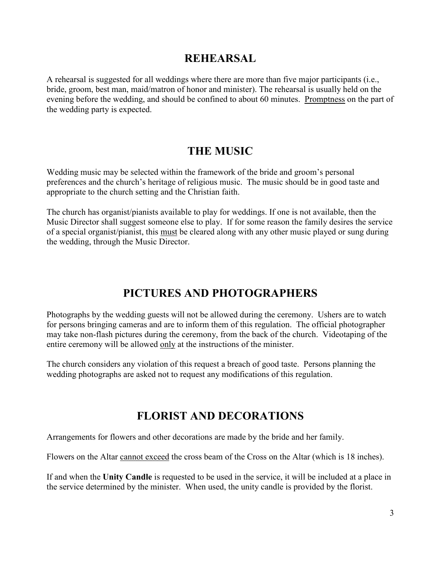#### **REHEARSAL**

A rehearsal is suggested for all weddings where there are more than five major participants (i.e., bride, groom, best man, maid/matron of honor and minister). The rehearsal is usually held on the evening before the wedding, and should be confined to about 60 minutes. Promptness on the part of the wedding party is expected.

#### **THE MUSIC**

Wedding music may be selected within the framework of the bride and groom's personal preferences and the church's heritage of religious music. The music should be in good taste and appropriate to the church setting and the Christian faith.

The church has organist/pianists available to play for weddings. If one is not available, then the Music Director shall suggest someone else to play. If for some reason the family desires the service of a special organist/pianist, this must be cleared along with any other music played or sung during the wedding, through the Music Director.

#### **PICTURES AND PHOTOGRAPHERS**

Photographs by the wedding guests will not be allowed during the ceremony. Ushers are to watch for persons bringing cameras and are to inform them of this regulation. The official photographer may take non-flash pictures during the ceremony, from the back of the church. Videotaping of the entire ceremony will be allowed only at the instructions of the minister.

The church considers any violation of this request a breach of good taste. Persons planning the wedding photographs are asked not to request any modifications of this regulation.

#### **FLORIST AND DECORATIONS**

Arrangements for flowers and other decorations are made by the bride and her family.

Flowers on the Altar cannot exceed the cross beam of the Cross on the Altar (which is 18 inches).

If and when the **Unity Candle** is requested to be used in the service, it will be included at a place in the service determined by the minister. When used, the unity candle is provided by the florist.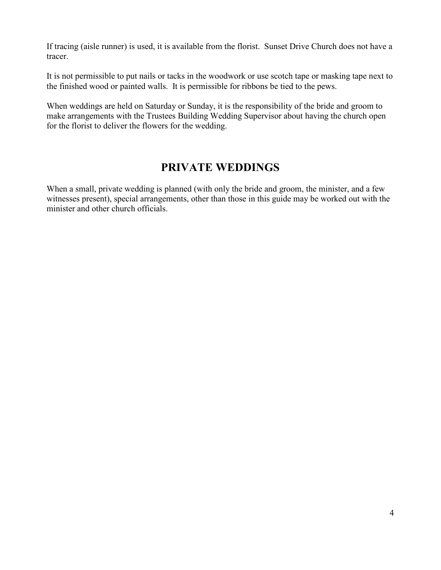If tracing (aisle runner) is used, it is available from the florist. Sunset Drive Church does not have a tracer.

It is not permissible to put nails or tacks in the woodwork or use scotch tape or masking tape next to the finished wood or painted walls. It is permissible for ribbons be tied to the pews.

When weddings are held on Saturday or Sunday, it is the responsibility of the bride and groom to make arrangements with the Trustees Building Wedding Supervisor about having the church open for the florist to deliver the flowers for the wedding.

#### **PRIVATE WEDDINGS**

When a small, private wedding is planned (with only the bride and groom, the minister, and a few witnesses present), special arrangements, other than those in this guide may be worked out with the minister and other church officials.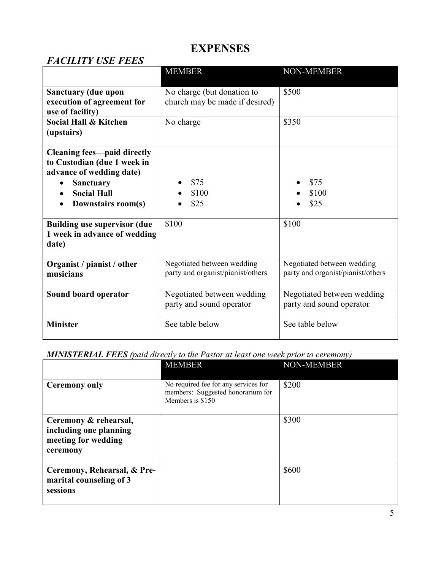## **EXPENSES**

#### *FACILITY USE FEES*

|                                                         | <b>MEMBER</b>                     | <b>NON-MEMBER</b>                 |
|---------------------------------------------------------|-----------------------------------|-----------------------------------|
| <b>Sanctuary (due upon</b>                              | No charge (but donation to        | \$500                             |
| execution of agreement for                              | church may be made if desired)    |                                   |
| use of facility)                                        |                                   |                                   |
| <b>Social Hall &amp; Kitchen</b>                        | No charge                         | \$350                             |
| (upstairs)                                              |                                   |                                   |
|                                                         |                                   |                                   |
| <b>Cleaning fees—paid directly</b>                      |                                   |                                   |
| to Custodian (due 1 week in<br>advance of wedding date) |                                   |                                   |
|                                                         | \$75                              | \$75                              |
| <b>Sanctuary</b><br><b>Social Hall</b>                  |                                   |                                   |
|                                                         | \$100                             | \$100                             |
| Downstairs room(s)                                      | \$25                              | \$25                              |
| <b>Building use supervisor (due)</b>                    | \$100                             | \$100                             |
| 1 week in advance of wedding                            |                                   |                                   |
| date)                                                   |                                   |                                   |
|                                                         |                                   |                                   |
| Organist / pianist / other                              | Negotiated between wedding        | Negotiated between wedding        |
| musicians                                               | party and organist/pianist/others | party and organist/pianist/others |
|                                                         |                                   |                                   |
| Sound board operator                                    | Negotiated between wedding        | Negotiated between wedding        |
|                                                         | party and sound operator          | party and sound operator          |
| <b>Minister</b>                                         | See table below                   | See table below                   |
|                                                         |                                   |                                   |

*MINISTERIAL FEES (paid directly to the Pastor at least one week prior to ceremony)*

|                                                                                    | <b>MEMBER</b>                                                                                 | <b>NON-MEMBER</b> |
|------------------------------------------------------------------------------------|-----------------------------------------------------------------------------------------------|-------------------|
| <b>Ceremony only</b>                                                               | No required fee for any services for<br>members: Suggested honorarium for<br>Members is \$150 | \$200             |
| Ceremony & rehearsal,<br>including one planning<br>meeting for wedding<br>ceremony |                                                                                               | \$300             |
| Ceremony, Rehearsal, & Pre-<br>marital counseling of 3<br>sessions                 |                                                                                               | \$600             |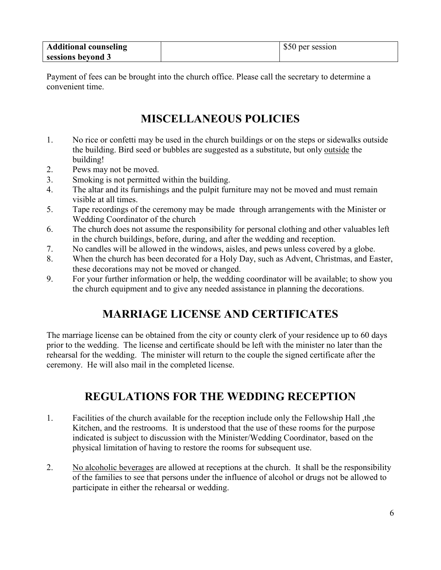| <b>Additional counseling</b> | \$50 per session |
|------------------------------|------------------|
| sessions beyond 3            |                  |

Payment of fees can be brought into the church office. Please call the secretary to determine a convenient time.

#### **MISCELLANEOUS POLICIES**

- 1. No rice or confetti may be used in the church buildings or on the steps or sidewalks outside the building. Bird seed or bubbles are suggested as a substitute, but only outside the building!
- 2. Pews may not be moved.
- 3. Smoking is not permitted within the building.
- 4. The altar and its furnishings and the pulpit furniture may not be moved and must remain visible at all times.
- 5. Tape recordings of the ceremony may be made through arrangements with the Minister or Wedding Coordinator of the church
- 6. The church does not assume the responsibility for personal clothing and other valuables left in the church buildings, before, during, and after the wedding and reception.
- 7. No candles will be allowed in the windows, aisles, and pews unless covered by a globe.
- 8. When the church has been decorated for a Holy Day, such as Advent, Christmas, and Easter, these decorations may not be moved or changed.
- 9. For your further information or help, the wedding coordinator will be available; to show you the church equipment and to give any needed assistance in planning the decorations.

#### **MARRIAGE LICENSE AND CERTIFICATES**

The marriage license can be obtained from the city or county clerk of your residence up to 60 days prior to the wedding. The license and certificate should be left with the minister no later than the rehearsal for the wedding. The minister will return to the couple the signed certificate after the ceremony. He will also mail in the completed license.

#### **REGULATIONS FOR THE WEDDING RECEPTION**

- 1. Facilities of the church available for the reception include only the Fellowship Hall ,the Kitchen, and the restrooms. It is understood that the use of these rooms for the purpose indicated is subject to discussion with the Minister/Wedding Coordinator, based on the physical limitation of having to restore the rooms for subsequent use.
- 2. No alcoholic beverages are allowed at receptions at the church. It shall be the responsibility of the families to see that persons under the influence of alcohol or drugs not be allowed to participate in either the rehearsal or wedding.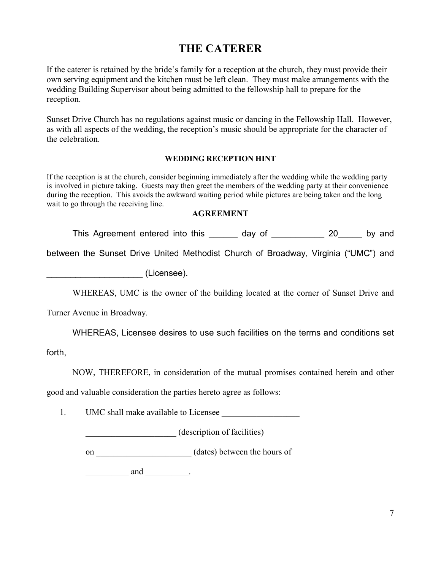### **THE CATERER**

If the caterer is retained by the bride's family for a reception at the church, they must provide their own serving equipment and the kitchen must be left clean. They must make arrangements with the wedding Building Supervisor about being admitted to the fellowship hall to prepare for the reception.

Sunset Drive Church has no regulations against music or dancing in the Fellowship Hall. However, as with all aspects of the wedding, the reception's music should be appropriate for the character of the celebration.

#### **WEDDING RECEPTION HINT**

If the reception is at the church, consider beginning immediately after the wedding while the wedding party is involved in picture taking. Guests may then greet the members of the wedding party at their convenience during the reception. This avoids the awkward waiting period while pictures are being taken and the long wait to go through the receiving line.

#### **AGREEMENT**

This Agreement entered into this \_\_\_\_\_\_ day of \_\_\_\_\_\_\_\_\_\_\_ 20\_\_\_\_\_ by and

between the Sunset Drive United Methodist Church of Broadway, Virginia ("UMC") and

\_\_\_\_\_\_\_\_\_\_\_\_\_\_\_\_\_\_\_\_ (Licensee).

WHEREAS, UMC is the owner of the building located at the corner of Sunset Drive and

Turner Avenue in Broadway.

WHEREAS, Licensee desires to use such facilities on the terms and conditions set

forth,

NOW, THEREFORE, in consideration of the mutual promises contained herein and other

good and valuable consideration the parties hereto agree as follows:

1. UMC shall make available to Licensee

\_\_\_\_\_\_\_\_\_\_\_\_\_\_\_\_\_\_\_\_\_ (description of facilities)

on  $(dates)$  between the hours of

 $\qquad \qquad \text{and} \qquad \qquad$